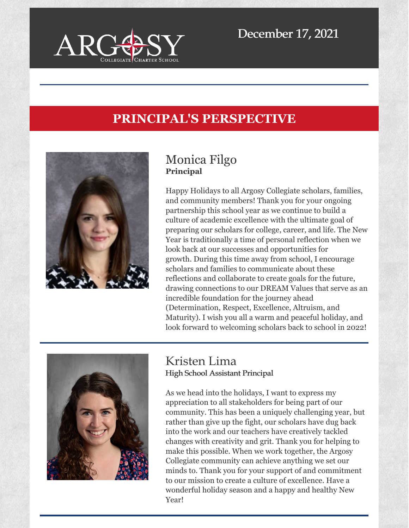

# **PRINCIPAL'S PERSPECTIVE**



## Monica Filgo **Principal**

Happy Holidays to all Argosy Collegiate scholars, families, and community members! Thank you for your ongoing partnership this school year as we continue to build a culture of academic excellence with the ultimate goal of preparing our scholars for college, career, and life. The New Year is traditionally a time of personal reflection when we look back at our successes and opportunities for growth. During this time away from school, I encourage scholars and families to communicate about these reflections and collaborate to create goals for the future, drawing connections to our DREAM Values that serve as an incredible foundation for the journey ahead (Determination, Respect, Excellence, Altruism, and Maturity). I wish you all a warm and peaceful holiday, and look forward to welcoming scholars back to school in 2022!



### Kristen Lima High School Assistant Principal

As we head into the holidays, I want to express my appreciation to all stakeholders for being part of our community. This has been a uniquely challenging year, but rather than give up the fight, our scholars have dug back into the work and our teachers have creatively tackled changes with creativity and grit. Thank you for helping to make this possible. When we work together, the Argosy Collegiate community can achieve anything we set our minds to. Thank you for your support of and commitment to our mission to create a culture of excellence. Have a wonderful holiday season and a happy and healthy New Year!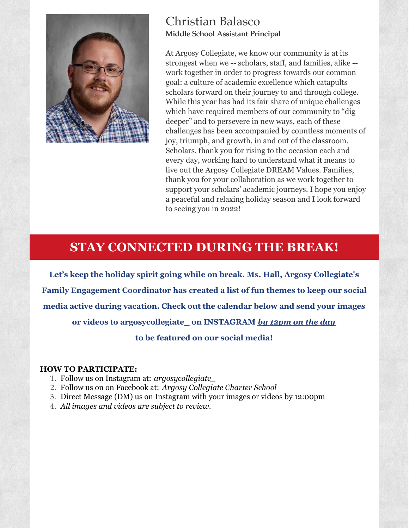

### Christian Balasco Middle School Assistant Principal

At Argosy Collegiate, we know our community is at its strongest when we -- scholars, staff, and families, alike - work together in order to progress towards our common goal: a culture of academic excellence which catapults scholars forward on their journey to and through college. While this year has had its fair share of unique challenges which have required members of our community to "dig deeper" and to persevere in new ways, each of these challenges has been accompanied by countless moments of joy, triumph, and growth, in and out of the classroom. Scholars, thank you for rising to the occasion each and every day, working hard to understand what it means to live out the Argosy Collegiate DREAM Values. Families, thank you for your collaboration as we work together to support your scholars' academic journeys. I hope you enjoy a peaceful and relaxing holiday season and I look forward to seeing you in 2022!

## **STAY CONNECTED DURING THE BREAK!**

**Let's keep the holiday spirit going while on break. Ms. Hall, Argosy Collegiate's Family Engagement Coordinator has created a list of fun themes to keep our social media active during vacation. Check out the calendar below and send your images or videos to argosycollegiate\_ on INSTAGRAM** *by 12pm on the day*

**to be featured on our social media!**

#### **HOW TO PARTICIPATE:**

- 1. Follow us on Instagram at: *argosycollegiate\_*
- 2. Follow us on on Facebook at: *Argosy Collegiate Charter School*
- 3. Direct Message (DM) us on Instagram with your images or videos by 12:00pm
- 4. *All images and videos are subject to review.*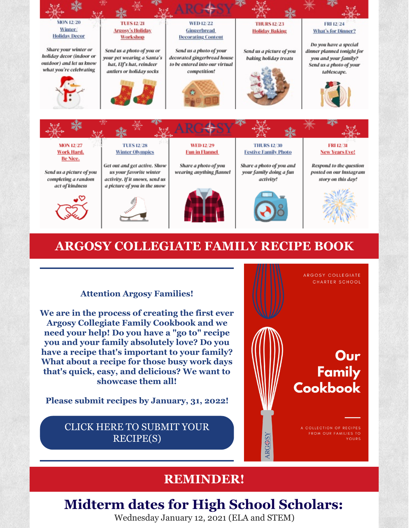

## **ARGOSY COLLEGIATE FAMILY RECIPE BOOK**

#### **Attention Argosy Families!**

**We are in the process of creating the first ever Argosy Collegiate Family Cookbook and we need your help! Do you have a "go to" recipe you and your family absolutely love? Do you have a recipe that's important to your family? What about a recipe for those busy work days that's quick, easy, and delicious? We want to showcase them all!**

**Please submit recipes by January, 31, 2022!**

CLICK HERE TO SUBMIT YOUR [RECIPE\(S\)](https://forms.gle/jhcv8JhVj8EZoQjDA)



## **REMINDER!**

# **Midterm dates for High School Scholars:**

Wednesday January 12, 2021 (ELA and STEM)